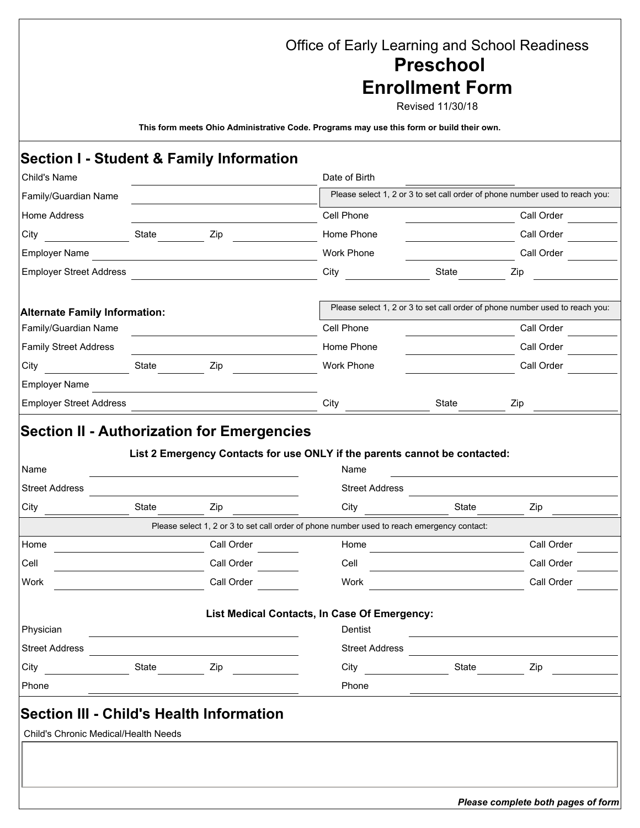## Office of Early Learning and School Readiness **Preschool**

## **Enrollment Form**

Revised 11/30/18

**This form meets Ohio Administrative Code. Programs may use this form or build their own.** 

## **Section I - Student & Family Information**

| Child's Name                                    |       |                                                             | Date of Birth                                                                              |       |                                                                              |                                                    |  |  |
|-------------------------------------------------|-------|-------------------------------------------------------------|--------------------------------------------------------------------------------------------|-------|------------------------------------------------------------------------------|----------------------------------------------------|--|--|
| Family/Guardian Name                            |       |                                                             | Please select 1, 2 or 3 to set call order of phone number used to reach you:               |       |                                                                              |                                                    |  |  |
| Home Address                                    |       |                                                             | Cell Phone                                                                                 |       | Call Order<br>Call Order                                                     | $\vert \textbf{I} \vert$<br>$\boxed{\blacksquare}$ |  |  |
| City                                            | State | Zip                                                         | Home Phone                                                                                 |       |                                                                              |                                                    |  |  |
| <b>Employer Name</b>                            |       |                                                             | <b>Work Phone</b>                                                                          |       |                                                                              |                                                    |  |  |
| <b>Employer Street Address</b>                  |       |                                                             | City                                                                                       | State | Zip                                                                          |                                                    |  |  |
| <b>Alternate Family Information:</b>            |       |                                                             |                                                                                            |       | Please select 1, 2 or 3 to set call order of phone number used to reach you: |                                                    |  |  |
| Family/Guardian Name                            |       | the control of the control of the control of the control of | Cell Phone                                                                                 |       | Call Order                                                                   | $\vert \textbf{I} \vert$                           |  |  |
| <b>Family Street Address</b>                    |       |                                                             | Home Phone                                                                                 |       |                                                                              |                                                    |  |  |
| City                                            | State | Zip                                                         | Work Phone                                                                                 |       | Call Order                                                                   | $\boxed{\mathbf{r}}$                               |  |  |
| <b>Employer Name</b>                            |       |                                                             |                                                                                            |       |                                                                              |                                                    |  |  |
| <b>Employer Street Address</b>                  |       |                                                             | City                                                                                       | State | Zip                                                                          |                                                    |  |  |
| <b>Street Address</b><br>City                   | State | Zip                                                         | <b>Street Address</b><br>City                                                              | State | Zip                                                                          |                                                    |  |  |
|                                                 |       |                                                             | Please select 1, 2 or 3 to set call order of phone number used to reach emergency contact: |       |                                                                              |                                                    |  |  |
| Home                                            |       | Call Order                                                  | Home<br>$\blacktriangleright$                                                              |       | Call Order                                                                   | $\overline{\phantom{0}}$                           |  |  |
| Cell                                            |       | Call Order                                                  | Cell<br>$\vert \textbf{v} \vert$                                                           |       | Call Order                                                                   | $\boxed{\mathbf{r}}$                               |  |  |
| Work                                            |       | Call Order                                                  | Work<br>$\blacktriangledown$                                                               |       | Call Order                                                                   | $\boxed{\mathbf{v}}$                               |  |  |
|                                                 |       |                                                             | List Medical Contacts, In Case Of Emergency:                                               |       |                                                                              |                                                    |  |  |
| Physician                                       |       |                                                             | Dentist                                                                                    |       |                                                                              |                                                    |  |  |
| <b>Street Address</b>                           |       |                                                             | <b>Street Address</b>                                                                      |       |                                                                              |                                                    |  |  |
| City                                            | State | Zip                                                         | City                                                                                       | State | Zip                                                                          |                                                    |  |  |
| Phone                                           |       |                                                             | Phone                                                                                      |       |                                                                              |                                                    |  |  |
| <b>Section III - Child's Health Information</b> |       |                                                             |                                                                                            |       |                                                                              |                                                    |  |  |
| Child's Chronic Medical/Health Needs            |       |                                                             |                                                                                            |       |                                                                              |                                                    |  |  |
|                                                 |       |                                                             |                                                                                            |       |                                                                              |                                                    |  |  |
|                                                 |       |                                                             |                                                                                            |       |                                                                              |                                                    |  |  |
|                                                 |       |                                                             |                                                                                            |       |                                                                              |                                                    |  |  |